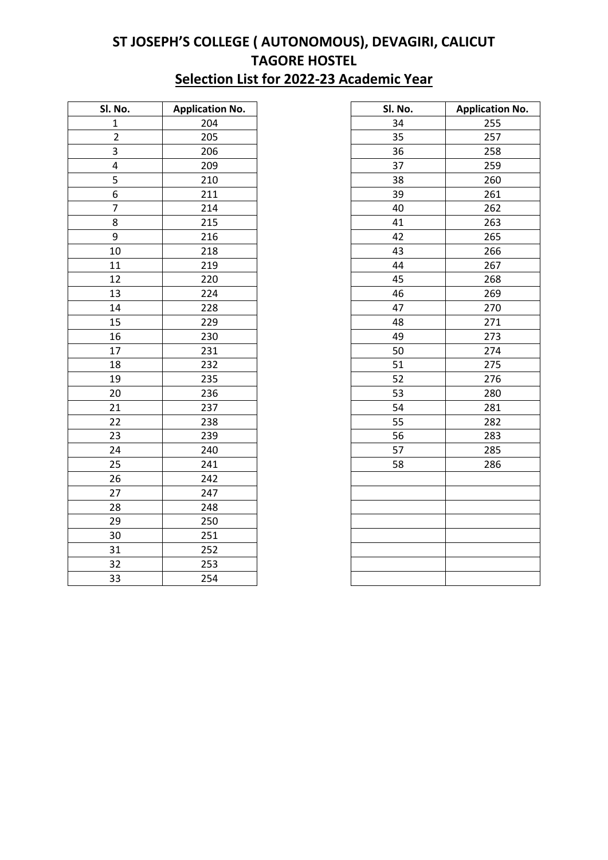## **ST JOSEPH'S COLLEGE ( AUTONOMOUS), DEVAGIRI, CALICUT TAGORE HOSTEL Selection List for 2022-23 Academic Year**

| SI. No.        | <b>Application No.</b> |  |
|----------------|------------------------|--|
| $\mathbf 1$    | 204                    |  |
| $\overline{2}$ | 205                    |  |
| 3              | 206                    |  |
| 4              | 209                    |  |
| 5              | 210                    |  |
| 6              | 211                    |  |
| 7              | 214                    |  |
| 8              | 215                    |  |
| 9              | 216                    |  |
| 10             | 218                    |  |
| 11             | 219                    |  |
| 12             | 220                    |  |
| 13             | 224                    |  |
| 14             | 228                    |  |
| 15             | 229                    |  |
| 16             | 230                    |  |
| 17             | 231                    |  |
| 18             | 232                    |  |
| 19             | 235                    |  |
| 20             | 236                    |  |
| 21             | 237                    |  |
| 22             | 238                    |  |
| 23             | 239                    |  |
| 24             | 240                    |  |
| 25             | 241                    |  |
| 26             | 242                    |  |
| 27             | 247                    |  |
| 28             | 248                    |  |
| 29             | 250                    |  |
| 30             | 251                    |  |
| 31             | 252                    |  |
| 32             | 253                    |  |
| 33             | 254                    |  |

| SI. No.                 | <b>Application No.</b> | Sl. No. | <b>Application No.</b> |
|-------------------------|------------------------|---------|------------------------|
| $\mathbf 1$             | 204                    | 34      | 255                    |
| $\overline{2}$          | 205                    | 35      | 257                    |
| 3                       | 206                    | 36      | 258                    |
| $\overline{\mathbf{4}}$ | 209                    | 37      | 259                    |
| 5                       | 210                    | 38      | 260                    |
| $\boldsymbol{6}$        | 211                    | 39      | 261                    |
| $\overline{7}$          | 214                    | 40      | 262                    |
| 8                       | 215                    | 41      | 263                    |
| 9                       | 216                    | 42      | 265                    |
| 10                      | 218                    | 43      | 266                    |
| 11                      | 219                    | 44      | 267                    |
| 12                      | 220                    | 45      | 268                    |
| 13                      | 224                    | 46      | 269                    |
| 14                      | 228                    | 47      | 270                    |
| 15                      | 229                    | 48      | 271                    |
| 16                      | 230                    | 49      | 273                    |
| 17                      | 231                    | 50      | 274                    |
| 18                      | 232                    | 51      | 275                    |
| 19                      | 235                    | 52      | 276                    |
| 20                      | 236                    | 53      | 280                    |
| 21                      | 237                    | 54      | 281                    |
| 22                      | 238                    | 55      | 282                    |
| 23                      | 239                    | 56      | 283                    |
| 24                      | 240                    | 57      | 285                    |
| 25                      | 241                    | 58      | 286                    |
| 26                      | 242                    |         |                        |
| 27                      | 247                    |         |                        |
| 28                      | 248                    |         |                        |
| 29                      | 250                    |         |                        |
| 30                      | 251                    |         |                        |
| 31                      | 252                    |         |                        |
| 32                      | 253                    |         |                        |
| 33                      | 254                    |         |                        |